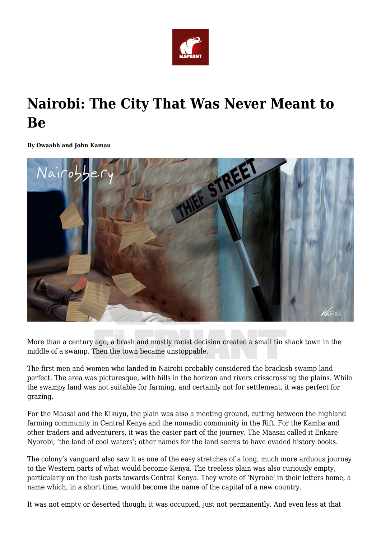

## **Nairobi: The City That Was Never Meant to Be**

**By Owaahh and John Kamau**



More than a century ago, a brash and mostly racist decision created a small tin shack town in the middle of a swamp. Then the town became unstoppable.

The first men and women who landed in Nairobi probably considered the brackish swamp land perfect. The area was picturesque, with hills in the horizon and rivers crisscrossing the plains. While the swampy land was not suitable for farming, and certainly not for settlement, it was perfect for grazing.

For the Maasai and the Kikuyu, the plain was also a meeting ground, cutting between the highland farming community in Central Kenya and the nomadic community in the Rift. For the Kamba and other traders and adventurers, it was the easier part of the journey. The Maasai called it Enkare Nyorobi, 'the land of cool waters'; other names for the land seems to have evaded history books.

The colony's vanguard also saw it as one of the easy stretches of a long, much more arduous journey to the Western parts of what would become Kenya. The treeless plain was also curiously empty, particularly on the lush parts towards Central Kenya. They wrote of 'Nyrobe' in their letters home, a name which, in a short time, would become the name of the capital of a new country.

It was not empty or deserted though; it was occupied, just not permanently. And even less at that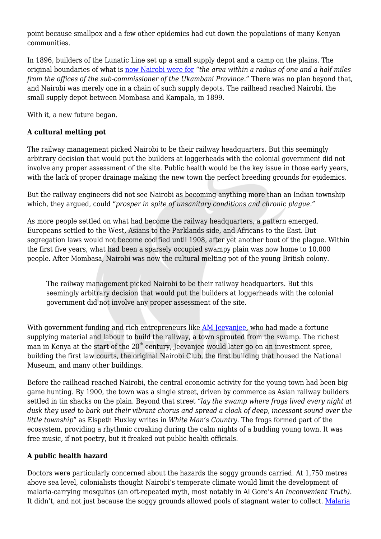point because smallpox and a few other epidemics had cut down the populations of many Kenyan communities.

In 1896, builders of the Lunatic Line set up a small supply depot and a camp on the plains. The original boundaries of what is [now Nairobi were for](http://archive.unu.edu/unupress/unupbooks/uu26ue/uu26ue0o.htm) "*the area within a radius of one and a half miles from the offices of the sub-commissioner of the Ukambani Province*." There was no plan beyond that, and Nairobi was merely one in a chain of such supply depots. The railhead reached Nairobi, the small supply depot between Mombasa and Kampala, in 1899.

With it, a new future began.

## **A cultural melting pot**

The railway management picked Nairobi to be their railway headquarters. But this seemingly arbitrary decision that would put the builders at loggerheads with the colonial government did not involve any proper assessment of the site. Public health would be the key issue in those early years, with the lack of proper drainage making the new town the perfect breeding grounds for epidemics.

But the railway engineers did not see Nairobi as becoming anything more than an Indian township which, they argued, could "*prosper in spite of unsanitary conditions and chronic plague*."

As more people settled on what had become the railway headquarters, a pattern emerged. Europeans settled to the West, Asians to the Parklands side, and Africans to the East. But segregation laws would not become codified until 1908, after yet another bout of the plague. Within the first five years, what had been a sparsely occupied swampy plain was now home to 10,000 people. After Mombasa, Nairobi was now the cultural melting pot of the young British colony.

The railway management picked Nairobi to be their railway headquarters. But this seemingly arbitrary decision that would put the builders at loggerheads with the colonial government did not involve any proper assessment of the site.

With government funding and rich entrepreneurs like [AM Jeevanjee,](https://owaahh.com/alibhai-mulla-jevanjee-the-man-who-built-nairobi/) who had made a fortune supplying material and labour to build the railway, a town sprouted from the swamp. The richest man in Kenya at the start of the 20<sup>th</sup> century, Jeevanjee would later go on an investment spree, building the first law courts, the original Nairobi Club, the first building that housed the National Museum, and many other buildings.

Before the railhead reached Nairobi, the central economic activity for the young town had been big game hunting. By 1900, the town was a single street, driven by commerce as Asian railway builders settled in tin shacks on the plain. Beyond that street "*lay the swamp where frogs lived every night at dusk they used to bark out their vibrant chorus and spread a cloak of deep, incessant sound over the little township*" as Elspeth Huxley writes in *White Man's Country*. The frogs formed part of the ecosystem, providing a rhythmic croaking during the calm nights of a budding young town. It was free music, if not poetry, but it freaked out public health officials.

## **A public health hazard**

Doctors were particularly concerned about the hazards the soggy grounds carried. At 1,750 metres above sea level, colonialists thought Nairobi's temperate climate would limit the development of malaria-carrying mosquitos (an oft-repeated myth, most notably in Al Gore's *An Inconvenient Truth)*. It didn't, and not just because the soggy grounds allowed pools of stagnant water to collect. [Malaria](https://www.ncbi.nlm.nih.gov/pmc/articles/PMC3114797/)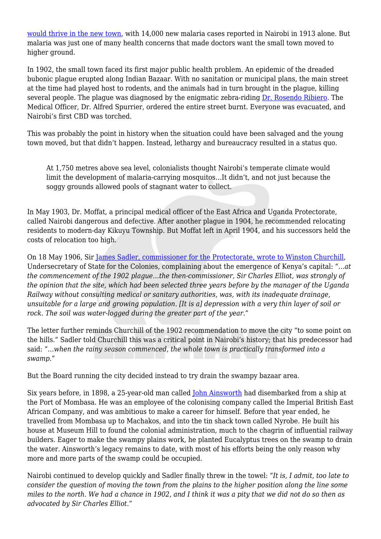[would thrive in the new town](https://www.ncbi.nlm.nih.gov/pmc/articles/PMC3114797/), with 14,000 new malaria cases reported in Nairobi in 1913 alone. But malaria was just one of many health concerns that made doctors want the small town moved to higher ground.

In 1902, the small town faced its first major public health problem. An epidemic of the dreaded bubonic plague erupted along Indian Bazaar. With no sanitation or municipal plans, the main street at the time had played host to rodents, and the animals had in turn brought in the plague, killing several people. The plague was diagnosed by the enigmatic zebra-riding [Dr. Rosendo Ribiero](https://owaahh.com/meet-the-man-who-saved-nairobi-from-the-bubonic-plague/). The Medical Officer, Dr. Alfred Spurrier, ordered the entire street burnt. Everyone was evacuated, and Nairobi's first CBD was torched.

This was probably the point in history when the situation could have been salvaged and the young town moved, but that didn't happen. Instead, lethargy and bureaucracy resulted in a status quo.

At 1,750 metres above sea level, colonialists thought Nairobi's temperate climate would limit the development of malaria-carrying mosquitos…It didn't, and not just because the soggy grounds allowed pools of stagnant water to collect.

In May 1903, Dr. Moffat, a principal medical officer of the East Africa and Uganda Protectorate, called Nairobi dangerous and defective. After another plague in 1904, he recommended relocating residents to modern-day Kikuyu Township. But Moffat left in April 1904, and his successors held the costs of relocation too high.

On 18 May 1906, Sir [James Sadler, commissioner for the Protectorate, wrote to Winston Churchill](https://johnkamau.blogspot.com/2015/05/nairobi-was-built-on-wrong-place.html), Undersecretary of State for the Colonies, complaining about the emergence of Kenya's capital: "…*at the commencement of the 1902 plague…the then-commissioner, Sir Charles Elliot, was strongly of the opinion that the site, which had been selected three years before by the manager of the Uganda Railway without consulting medical or sanitary authorities, was, with its inadequate drainage, unsuitable for a large and growing population. [It is a] depression with a very thin layer of soil or rock. The soil was water-logged during the greater part of the year*."

The letter further reminds Churchill of the 1902 recommendation to move the city "to some point on the hills." Sadler told Churchill this was a critical point in Nairobi's history; that his predecessor had said: "…*when the rainy season commenced, the whole town is practically transformed into a swamp*."

But the Board running the city decided instead to try drain the swampy bazaar area.

Six years before, in 1898, a 25-year-old man called [John Ainsworth](https://johnkamau.blogspot.com/2011/09/john-ainsworth-man-who-built-nairobi.html) had disembarked from a ship at the Port of Mombasa. He was an employee of the colonising company called the Imperial British East African Company, and was ambitious to make a career for himself. Before that year ended, he travelled from Mombasa up to Machakos, and into the tin shack town called Nyrobe. He built his house at Museum Hill to found the colonial administration, much to the chagrin of influential railway builders. Eager to make the swampy plains work, he planted Eucalyptus trees on the swamp to drain the water. Ainsworth's legacy remains to date, with most of his efforts being the only reason why more and more parts of the swamp could be occupied.

Nairobi continued to develop quickly and Sadler finally threw in the towel: "*It is, I admit, too late to consider the question of moving the town from the plains to the higher position along the line some miles to the north. We had a chance in 1902, and I think it was a pity that we did not do so then as advocated by Sir Charles Elliot*."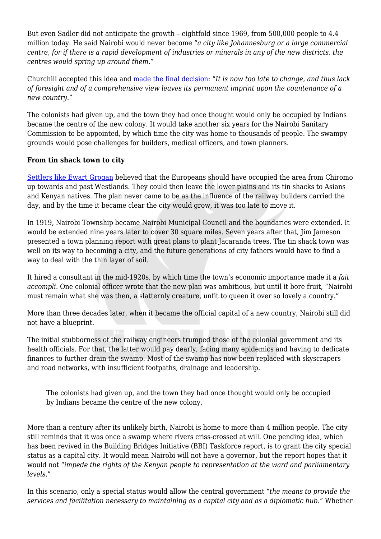But even Sadler did not anticipate the growth – eightfold since 1969, from 500,000 people to 4.4 million today. He said Nairobi would never become "*a city like Johannesburg or a large commercial centre, for if there is a rapid development of industries or minerals in any of the new districts, the centres would spring up around them*."

Churchill accepted this idea and [made the final decision](https://johnkamau.blogspot.com/2015/05/nairobi-was-built-on-wrong-place.html): "*It is now too late to change, and thus lack of foresight and of a comprehensive view leaves its permanent imprint upon the countenance of a new country*."

The colonists had given up, and the town they had once thought would only be occupied by Indians became the centre of the new colony. It would take another six years for the Nairobi Sanitary Commission to be appointed, by which time the city was home to thousands of people. The swampy grounds would pose challenges for builders, medical officers, and town planners.

## **From tin shack town to city**

[Settlers like Ewart Grogan](http://www.businessdailyafrica.com/Ewart-Grogan-and-origins-of-Chiromo-name/-/539444/1371464/-/iorrb4z/-/index.html) believed that the Europeans should have occupied the area from Chiromo up towards and past Westlands. They could then leave the lower plains and its tin shacks to Asians and Kenyan natives. The plan never came to be as the influence of the railway builders carried the day, and by the time it became clear the city would grow, it was too late to move it.

In 1919, Nairobi Township became Nairobi Municipal Council and the boundaries were extended. It would be extended nine years later to cover 30 square miles. Seven years after that, Jim Jameson presented a town planning report with great plans to plant Jacaranda trees. The tin shack town was well on its way to becoming a city, and the future generations of city fathers would have to find a way to deal with the thin layer of soil.

It hired a consultant in the mid-1920s, by which time the town's economic importance made it a *fait accompli*. One colonial officer wrote that the new plan was ambitious, but until it bore fruit, "Nairobi must remain what she was then, a slatternly creature, unfit to queen it over so lovely a country."

More than three decades later, when it became the official capital of a new country, Nairobi still did not have a blueprint.

The initial stubborness of the railway engineers trumped those of the colonial government and its health officials. For that, the latter would pay dearly, facing many epidemics and having to dedicate finances to further drain the swamp. Most of the swamp has now been replaced with skyscrapers and road networks, with insufficient footpaths, drainage and leadership.

The colonists had given up, and the town they had once thought would only be occupied by Indians became the centre of the new colony.

More than a century after its unlikely birth, Nairobi is home to more than 4 million people. The city still reminds that it was once a swamp where rivers criss-crossed at will. One pending idea, which has been revived in the Building Bridges Initiative (BBI) Taskforce report, is to grant the city special status as a capital city. It would mean Nairobi will not have a governor, but the report hopes that it would not "*impede the rights of the Kenyan people to representation at the ward and parliamentary levels*."

In this scenario, only a special status would allow the central government "*the means to provide the services and facilitation necessary to maintaining as a capital city and as a diplomatic hub*." Whether